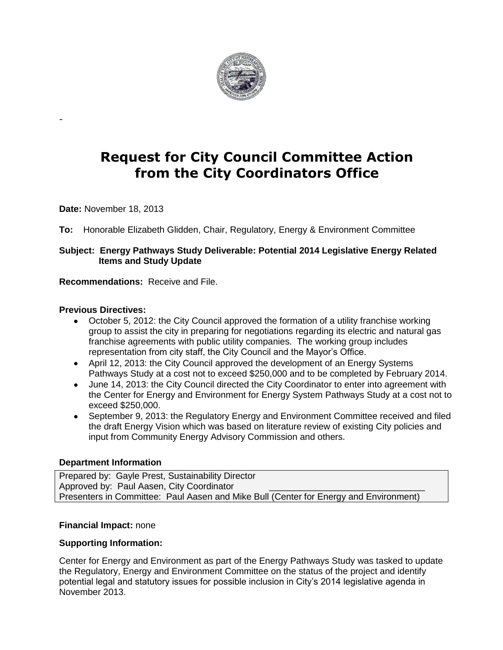

# **Request for City Council Committee Action from the City Coordinators Office**

**Date:** November 18, 2013

-

**To:** Honorable Elizabeth Glidden, Chair, Regulatory, Energy & Environment Committee

## **Subject: Energy Pathways Study Deliverable: Potential 2014 Legislative Energy Related Items and Study Update**

**Recommendations:** Receive and File.

#### **Previous Directives:**

- October 5, 2012: the City Council approved the formation of a utility franchise working group to assist the city in preparing for negotiations regarding its electric and natural gas franchise agreements with public utility companies. The working group includes representation from city staff, the City Council and the Mayor's Office.
- April 12, 2013: the City Council approved the development of an Energy Systems Pathways Study at a cost not to exceed \$250,000 and to be completed by February 2014.
- June 14, 2013: the City Council directed the City Coordinator to enter into agreement with the Center for Energy and Environment for Energy System Pathways Study at a cost not to exceed \$250,000.
- September 9, 2013: the Regulatory Energy and Environment Committee received and filed the draft Energy Vision which was based on literature review of existing City policies and input from Community Energy Advisory Commission and others.

### **Department Information**

Prepared by: Gayle Prest, Sustainability Director Approved by: Paul Aasen, City Coordinator Presenters in Committee: Paul Aasen and Mike Bull (Center for Energy and Environment)

### **Financial Impact:** none

### **Supporting Information:**

Center for Energy and Environment as part of the Energy Pathways Study was tasked to update the Regulatory, Energy and Environment Committee on the status of the project and identify potential legal and statutory issues for possible inclusion in City's 2014 legislative agenda in November 2013.